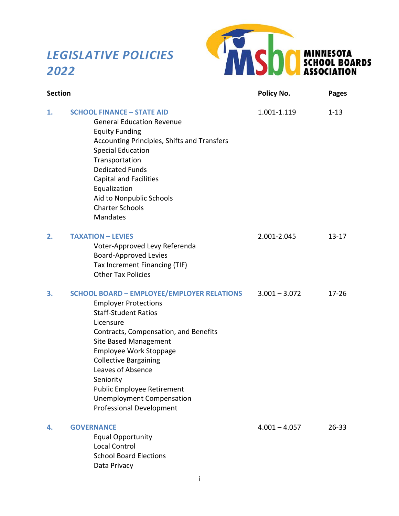# *LEGISLATIVE POLICIES 2022*



| <b>Section</b> |                                                                                                                                                                                                                                                                                                                                                                                                               | Policy No.      | <b>Pages</b> |
|----------------|---------------------------------------------------------------------------------------------------------------------------------------------------------------------------------------------------------------------------------------------------------------------------------------------------------------------------------------------------------------------------------------------------------------|-----------------|--------------|
| 1.             | <b>SCHOOL FINANCE - STATE AID</b><br><b>General Education Revenue</b><br><b>Equity Funding</b><br>Accounting Principles, Shifts and Transfers<br><b>Special Education</b><br>Transportation<br><b>Dedicated Funds</b><br><b>Capital and Facilities</b><br>Equalization<br>Aid to Nonpublic Schools<br><b>Charter Schools</b><br><b>Mandates</b>                                                               | 1.001-1.119     | $1 - 13$     |
| 2.             | <b>TAXATION - LEVIES</b><br>Voter-Approved Levy Referenda<br><b>Board-Approved Levies</b><br>Tax Increment Financing (TIF)<br><b>Other Tax Policies</b>                                                                                                                                                                                                                                                       | 2.001-2.045     | $13 - 17$    |
| 3.             | <b>SCHOOL BOARD - EMPLOYEE/EMPLOYER RELATIONS</b><br><b>Employer Protections</b><br><b>Staff-Student Ratios</b><br>Licensure<br>Contracts, Compensation, and Benefits<br>Site Based Management<br><b>Employee Work Stoppage</b><br><b>Collective Bargaining</b><br>Leaves of Absence<br>Seniority<br><b>Public Employee Retirement</b><br><b>Unemployment Compensation</b><br><b>Professional Development</b> | $3.001 - 3.072$ | $17 - 26$    |
| 4.             | <b>GOVERNANCE</b><br><b>Equal Opportunity</b><br><b>Local Control</b><br><b>School Board Elections</b><br>Data Privacy                                                                                                                                                                                                                                                                                        | $4.001 - 4.057$ | $26 - 33$    |

i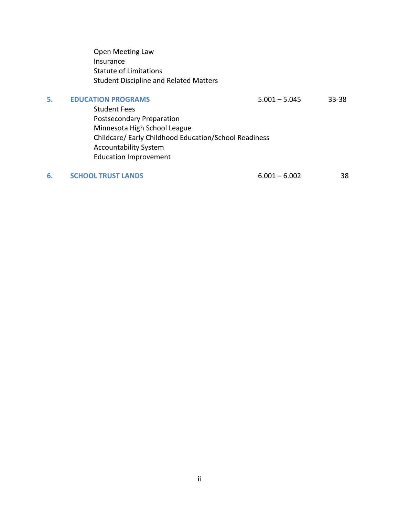Open Meeting Law Insurance Statute of Limitations Student Discipline and Related Matters

**5. EDUCATION PROGRAMS** 5.001 – 5.045 33-38

 Student Fees Postsecondary Preparation Minnesota High School League Childcare/ Early Childhood Education/School Readiness Accountability System Education Improvement

**6. 6.001 – 6.002 6.001 – 6.002 5.001**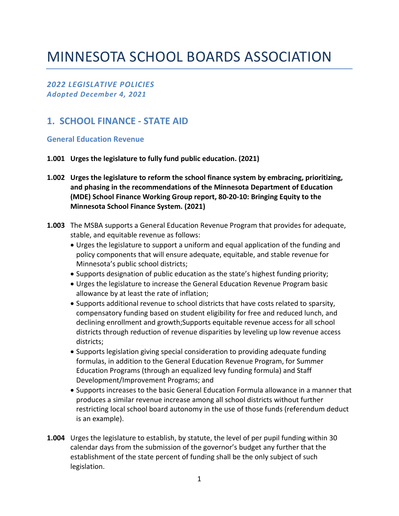# MINNESOTA SCHOOL BOARDS ASSOCIATION

*2022 LEGISLATIVE POLICIES Adopted December 4, 2021*

## **1. SCHOOL FINANCE - STATE AID**

**General Education Revenue** 

- **1.001 Urges the legislature to fully fund public education. (2021)**
- **1.002 Urges the legislature to reform the school finance system by embracing, prioritizing, and phasing in the recommendations of the Minnesota Department of Education (MDE) School Finance Working Group report, 80-20-10: Bringing Equity to the Minnesota School Finance System. (2021)**
- **1.003** The MSBA supports a General Education Revenue Program that provides for adequate, stable, and equitable revenue as follows:
	- Urges the legislature to support a uniform and equal application of the funding and policy components that will ensure adequate, equitable, and stable revenue for Minnesota's public school districts;
	- Supports designation of public education as the state's highest funding priority;
	- Urges the legislature to increase the General Education Revenue Program basic allowance by at least the rate of inflation;
	- Supports additional revenue to school districts that have costs related to sparsity, compensatory funding based on student eligibility for free and reduced lunch, and declining enrollment and growth;Supports equitable revenue access for all school districts through reduction of revenue disparities by leveling up low revenue access districts;
	- Supports legislation giving special consideration to providing adequate funding formulas, in addition to the General Education Revenue Program, for Summer Education Programs (through an equalized levy funding formula) and Staff Development/Improvement Programs; and
	- Supports increases to the basic General Education Formula allowance in a manner that produces a similar revenue increase among all school districts without further restricting local school board autonomy in the use of those funds (referendum deduct is an example).
- **1.004** Urges the legislature to establish, by statute, the level of per pupil funding within 30 calendar days from the submission of the governor's budget any further that the establishment of the state percent of funding shall be the only subject of such legislation.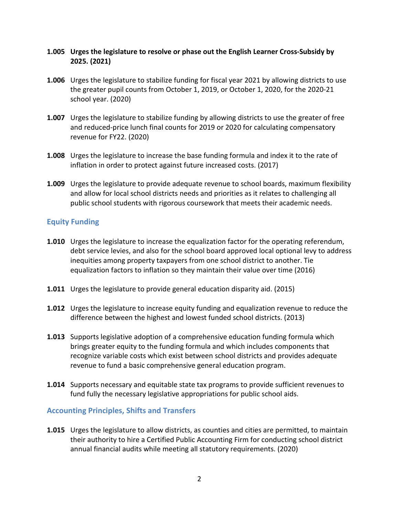#### **1.005 Urges the legislature to resolve or phase out the English Learner Cross-Subsidy by 2025. (2021)**

- **1.006** Urges the legislature to stabilize funding for fiscal year 2021 by allowing districts to use the greater pupil counts from October 1, 2019, or October 1, 2020, for the 2020-21 school year. (2020)
- **1.007** Urges the legislature to stabilize funding by allowing districts to use the greater of free and reduced-price lunch final counts for 2019 or 2020 for calculating compensatory revenue for FY22. (2020)
- **1.008** Urges the legislature to increase the base funding formula and index it to the rate of inflation in order to protect against future increased costs. (2017)
- **1.009** Urges the legislature to provide adequate revenue to school boards, maximum flexibility and allow for local school districts needs and priorities as it relates to challenging all public school students with rigorous coursework that meets their academic needs.

#### **Equity Funding**

- **1.010** Urges the legislature to increase the equalization factor for the operating referendum, debt service levies, and also for the school board approved local optional levy to address inequities among property taxpayers from one school district to another. Tie equalization factors to inflation so they maintain their value over time (2016)
- **1.011** Urges the legislature to provide general education disparity aid. (2015)
- **1.012** Urges the legislature to increase equity funding and equalization revenue to reduce the difference between the highest and lowest funded school districts. (2013)
- **1.013** Supports legislative adoption of a comprehensive education funding formula which brings greater equity to the funding formula and which includes components that recognize variable costs which exist between school districts and provides adequate revenue to fund a basic comprehensive general education program.
- **1.014** Supports necessary and equitable state tax programs to provide sufficient revenues to fund fully the necessary legislative appropriations for public school aids.

#### **Accounting Principles, Shifts and Transfers**

**1.015** Urges the legislature to allow districts, as counties and cities are permitted, to maintain their authority to hire a Certified Public Accounting Firm for conducting school district annual financial audits while meeting all statutory requirements. (2020)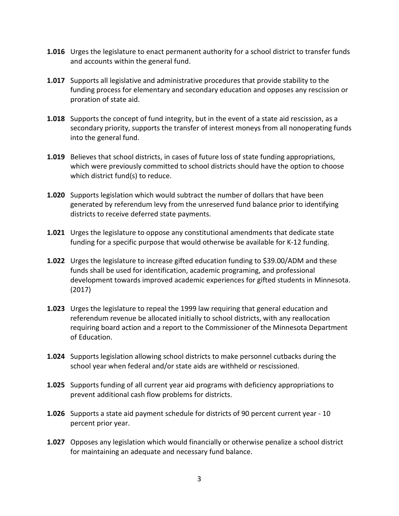- **1.016** Urges the legislature to enact permanent authority for a school district to transfer funds and accounts within the general fund.
- **1.017** Supports all legislative and administrative procedures that provide stability to the funding process for elementary and secondary education and opposes any rescission or proration of state aid.
- **1.018** Supports the concept of fund integrity, but in the event of a state aid rescission, as a secondary priority, supports the transfer of interest moneys from all nonoperating funds into the general fund.
- **1.019** Believes that school districts, in cases of future loss of state funding appropriations, which were previously committed to school districts should have the option to choose which district fund(s) to reduce.
- **1.020** Supports legislation which would subtract the number of dollars that have been generated by referendum levy from the unreserved fund balance prior to identifying districts to receive deferred state payments.
- **1.021** Urges the legislature to oppose any constitutional amendments that dedicate state funding for a specific purpose that would otherwise be available for K-12 funding.
- **1.022** Urges the legislature to increase gifted education funding to \$39.00/ADM and these funds shall be used for identification, academic programing, and professional development towards improved academic experiences for gifted students in Minnesota. (2017)
- **1.023** Urges the legislature to repeal the 1999 law requiring that general education and referendum revenue be allocated initially to school districts, with any reallocation requiring board action and a report to the Commissioner of the Minnesota Department of Education.
- **1.024** Supports legislation allowing school districts to make personnel cutbacks during the school year when federal and/or state aids are withheld or rescissioned.
- **1.025** Supports funding of all current year aid programs with deficiency appropriations to prevent additional cash flow problems for districts.
- **1.026** Supports a state aid payment schedule for districts of 90 percent current year 10 percent prior year.
- **1.027** Opposes any legislation which would financially or otherwise penalize a school district for maintaining an adequate and necessary fund balance.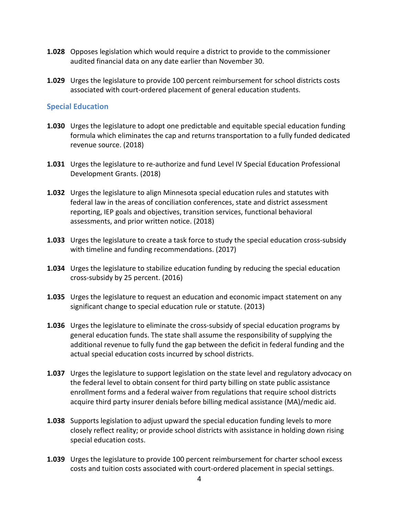- **1.028** Opposes legislation which would require a district to provide to the commissioner audited financial data on any date earlier than November 30.
- **1.029** Urges the legislature to provide 100 percent reimbursement for school districts costs associated with court-ordered placement of general education students.

#### **Special Education**

- **1.030** Urges the legislature to adopt one predictable and equitable special education funding formula which eliminates the cap and returns transportation to a fully funded dedicated revenue source. (2018)
- **1.031** Urges the legislature to re-authorize and fund Level IV Special Education Professional Development Grants. (2018)
- **1.032** Urges the legislature to align Minnesota special education rules and statutes with federal law in the areas of conciliation conferences, state and district assessment reporting, IEP goals and objectives, transition services, functional behavioral assessments, and prior written notice. (2018)
- **1.033** Urges the legislature to create a task force to study the special education cross-subsidy with timeline and funding recommendations. (2017)
- **1.034** Urges the legislature to stabilize education funding by reducing the special education cross-subsidy by 25 percent. (2016)
- **1.035** Urges the legislature to request an education and economic impact statement on any significant change to special education rule or statute. (2013)
- **1.036** Urges the legislature to eliminate the cross-subsidy of special education programs by general education funds. The state shall assume the responsibility of supplying the additional revenue to fully fund the gap between the deficit in federal funding and the actual special education costs incurred by school districts.
- **1.037** Urges the legislature to support legislation on the state level and regulatory advocacy on the federal level to obtain consent for third party billing on state public assistance enrollment forms and a federal waiver from regulations that require school districts acquire third party insurer denials before billing medical assistance (MA)/medic aid.
- **1.038** Supports legislation to adjust upward the special education funding levels to more closely reflect reality; or provide school districts with assistance in holding down rising special education costs.
- **1.039** Urges the legislature to provide 100 percent reimbursement for charter school excess costs and tuition costs associated with court-ordered placement in special settings.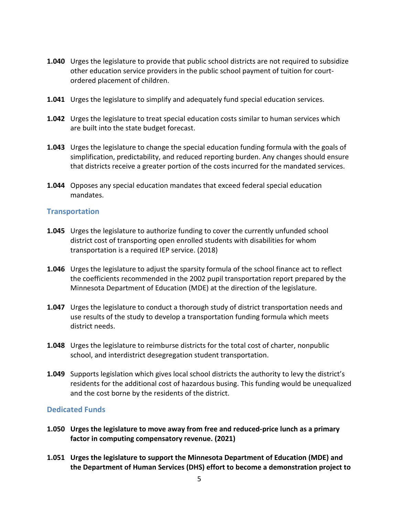- **1.040** Urges the legislature to provide that public school districts are not required to subsidize other education service providers in the public school payment of tuition for courtordered placement of children.
- **1.041** Urges the legislature to simplify and adequately fund special education services.
- **1.042** Urges the legislature to treat special education costs similar to human services which are built into the state budget forecast.
- **1.043** Urges the legislature to change the special education funding formula with the goals of simplification, predictability, and reduced reporting burden. Any changes should ensure that districts receive a greater portion of the costs incurred for the mandated services.
- **1.044** Opposes any special education mandates that exceed federal special education mandates.

#### **Transportation**

- **1.045** Urges the legislature to authorize funding to cover the currently unfunded school district cost of transporting open enrolled students with disabilities for whom transportation is a required IEP service. (2018)
- **1.046** Urges the legislature to adjust the sparsity formula of the school finance act to reflect the coefficients recommended in the 2002 pupil transportation report prepared by the Minnesota Department of Education (MDE) at the direction of the legislature.
- **1.047** Urges the legislature to conduct a thorough study of district transportation needs and use results of the study to develop a transportation funding formula which meets district needs.
- **1.048** Urges the legislature to reimburse districts for the total cost of charter, nonpublic school, and interdistrict desegregation student transportation.
- **1.049** Supports legislation which gives local school districts the authority to levy the district's residents for the additional cost of hazardous busing. This funding would be unequalized and the cost borne by the residents of the district.

#### **Dedicated Funds**

- **1.050 Urges the legislature to move away from free and reduced-price lunch as a primary factor in computing compensatory revenue. (2021)**
- **1.051 Urges the legislature to support the Minnesota Department of Education (MDE) and the Department of Human Services (DHS) effort to become a demonstration project to**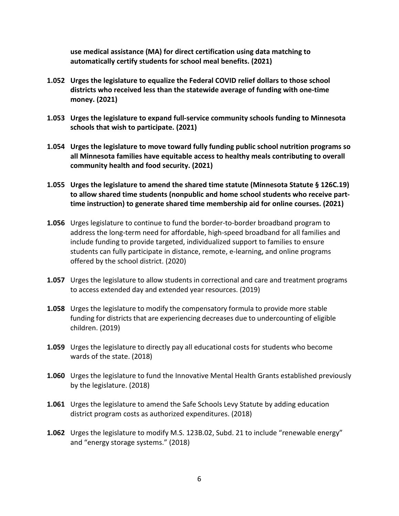**use medical assistance (MA) for direct certification using data matching to automatically certify students for school meal benefits. (2021)**

- **1.052 Urges the legislature to equalize the Federal COVID relief dollars to those school districts who received less than the statewide average of funding with one-time money. (2021)**
- **1.053 Urges the legislature to expand full-service community schools funding to Minnesota schools that wish to participate. (2021)**
- **1.054 Urges the legislature to move toward fully funding public school nutrition programs so all Minnesota families have equitable access to healthy meals contributing to overall community health and food security. (2021)**
- **1.055 Urges the legislature to amend the shared time statute (Minnesota Statute § 126C.19) to allow shared time students (nonpublic and home school students who receive parttime instruction) to generate shared time membership aid for online courses. (2021)**
- **1.056** Urges legislature to continue to fund the border-to-border broadband program to address the long-term need for affordable, high-speed broadband for all families and include funding to provide targeted, individualized support to families to ensure students can fully participate in distance, remote, e-learning, and online programs offered by the school district. (2020)
- **1.057** Urges the legislature to allow students in correctional and care and treatment programs to access extended day and extended year resources. (2019)
- **1.058** Urges the legislature to modify the compensatory formula to provide more stable funding for districts that are experiencing decreases due to undercounting of eligible children. (2019)
- **1.059** Urges the legislature to directly pay all educational costs for students who become wards of the state. (2018)
- **1.060** Urges the legislature to fund the Innovative Mental Health Grants established previously by the legislature. (2018)
- **1.061** Urges the legislature to amend the Safe Schools Levy Statute by adding education district program costs as authorized expenditures. (2018)
- **1.062** Urges the legislature to modify M.S. 123B.02, Subd. 21 to include "renewable energy" and "energy storage systems." (2018)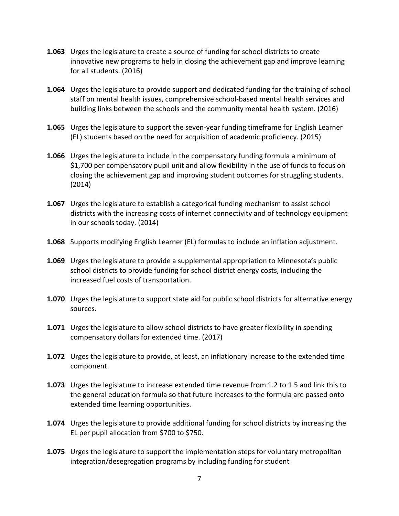- **1.063** Urges the legislature to create a source of funding for school districts to create innovative new programs to help in closing the achievement gap and improve learning for all students. (2016)
- **1.064** Urges the legislature to provide support and dedicated funding for the training of school staff on mental health issues, comprehensive school-based mental health services and building links between the schools and the community mental health system. (2016)
- **1.065** Urges the legislature to support the seven-year funding timeframe for English Learner (EL) students based on the need for acquisition of academic proficiency. (2015)
- **1.066** Urges the legislature to include in the compensatory funding formula a minimum of \$1,700 per compensatory pupil unit and allow flexibility in the use of funds to focus on closing the achievement gap and improving student outcomes for struggling students. (2014)
- **1.067** Urges the legislature to establish a categorical funding mechanism to assist school districts with the increasing costs of internet connectivity and of technology equipment in our schools today. (2014)
- **1.068** Supports modifying English Learner (EL) formulas to include an inflation adjustment.
- **1.069** Urges the legislature to provide a supplemental appropriation to Minnesota's public school districts to provide funding for school district energy costs, including the increased fuel costs of transportation.
- **1.070** Urges the legislature to support state aid for public school districts for alternative energy sources.
- **1.071** Urges the legislature to allow school districts to have greater flexibility in spending compensatory dollars for extended time. (2017)
- **1.072** Urges the legislature to provide, at least, an inflationary increase to the extended time component.
- **1.073** Urges the legislature to increase extended time revenue from 1.2 to 1.5 and link this to the general education formula so that future increases to the formula are passed onto extended time learning opportunities.
- **1.074** Urges the legislature to provide additional funding for school districts by increasing the EL per pupil allocation from \$700 to \$750.
- **1.075** Urges the legislature to support the implementation steps for voluntary metropolitan integration/desegregation programs by including funding for student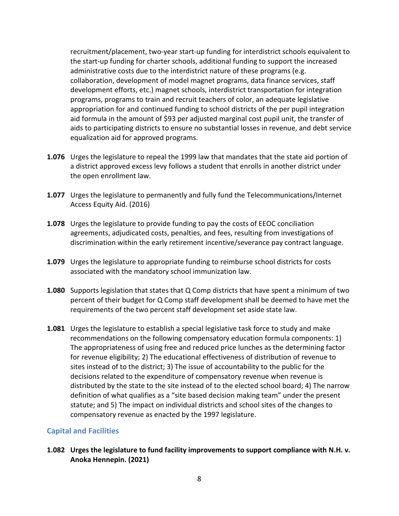recruitment/placement, two-year start-up funding for interdistrict schools equivalent to the start-up funding for charter schools, additional funding to support the increased administrative costs due to the interdistrict nature of these programs (e.g. collaboration, development of model magnet programs, data finance services, staff development efforts, etc.) magnet schools, interdistrict transportation for integration programs, programs to train and recruit teachers of color, an adequate legislative appropriation for and continued funding to school districts of the per pupil integration aid formula in the amount of \$93 per adjusted marginal cost pupil unit, the transfer of aids to participating districts to ensure no substantial losses in revenue, and debt service equalization aid for approved programs.

- **1.076** Urges the legislature to repeal the 1999 law that mandates that the state aid portion of a district approved excess levy follows a student that enrolls in another district under the open enrollment law.
- **1.077** Urges the legislature to permanently and fully fund the Telecommunications/Internet Access Equity Aid. (2016)
- **1.078** Urges the legislature to provide funding to pay the costs of EEOC conciliation agreements, adjudicated costs, penalties, and fees, resulting from investigations of discrimination within the early retirement incentive/severance pay contract language.
- **1.079** Urges the legislature to appropriate funding to reimburse school districts for costs associated with the mandatory school immunization law.
- **1.080** Supports legislation that states that Q Comp districts that have spent a minimum of two percent of their budget for Q Comp staff development shall be deemed to have met the requirements of the two percent staff development set aside state law.
- **1.081** Urges the legislature to establish a special legislative task force to study and make recommendations on the following compensatory education formula components: 1) The appropriateness of using free and reduced price lunches as the determining factor for revenue eligibility; 2) The educational effectiveness of distribution of revenue to sites instead of to the district; 3) The issue of accountability to the public for the decisions related to the expenditure of compensatory revenue when revenue is distributed by the state to the site instead of to the elected school board; 4) The narrow definition of what qualifies as a "site based decision making team" under the present statute; and 5) The impact on individual districts and school sites of the changes to compensatory revenue as enacted by the 1997 legislature.

#### **Capital and Facilities**

**1.082 Urges the legislature to fund facility improvements to support compliance with N.H. v. Anoka Hennepin. (2021)**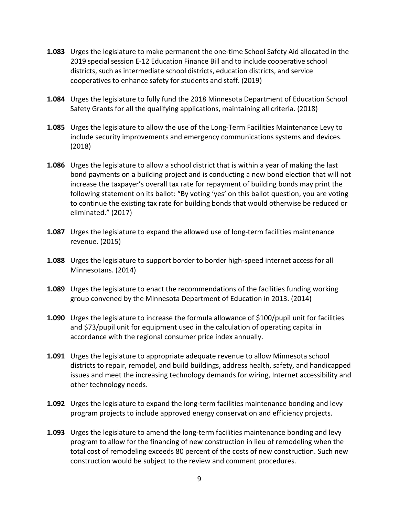- **1.083** Urges the legislature to make permanent the one-time School Safety Aid allocated in the 2019 special session E-12 Education Finance Bill and to include cooperative school districts, such as intermediate school districts, education districts, and service cooperatives to enhance safety for students and staff. (2019)
- **1.084** Urges the legislature to fully fund the 2018 Minnesota Department of Education School Safety Grants for all the qualifying applications, maintaining all criteria. (2018)
- **1.085** Urges the legislature to allow the use of the Long-Term Facilities Maintenance Levy to include security improvements and emergency communications systems and devices. (2018)
- **1.086** Urges the legislature to allow a school district that is within a year of making the last bond payments on a building project and is conducting a new bond election that will not increase the taxpayer's overall tax rate for repayment of building bonds may print the following statement on its ballot: "By voting 'yes' on this ballot question, you are voting to continue the existing tax rate for building bonds that would otherwise be reduced or eliminated." (2017)
- **1.087** Urges the legislature to expand the allowed use of long-term facilities maintenance revenue. (2015)
- **1.088** Urges the legislature to support border to border high-speed internet access for all Minnesotans. (2014)
- **1.089** Urges the legislature to enact the recommendations of the facilities funding working group convened by the Minnesota Department of Education in 2013. (2014)
- **1.090** Urges the legislature to increase the formula allowance of \$100/pupil unit for facilities and \$73/pupil unit for equipment used in the calculation of operating capital in accordance with the regional consumer price index annually.
- **1.091** Urges the legislature to appropriate adequate revenue to allow Minnesota school districts to repair, remodel, and build buildings, address health, safety, and handicapped issues and meet the increasing technology demands for wiring, Internet accessibility and other technology needs.
- **1.092** Urges the legislature to expand the long-term facilities maintenance bonding and levy program projects to include approved energy conservation and efficiency projects.
- **1.093** Urges the legislature to amend the long-term facilities maintenance bonding and levy program to allow for the financing of new construction in lieu of remodeling when the total cost of remodeling exceeds 80 percent of the costs of new construction. Such new construction would be subject to the review and comment procedures.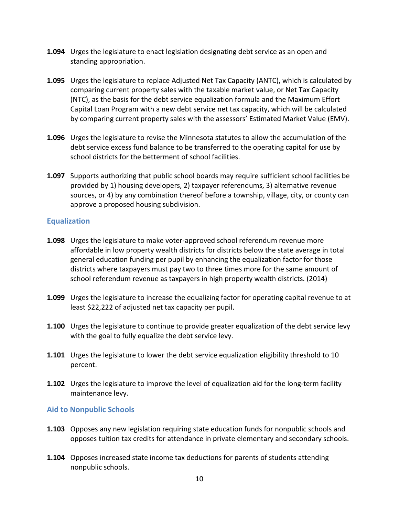- **1.094** Urges the legislature to enact legislation designating debt service as an open and standing appropriation.
- **1.095** Urges the legislature to replace Adjusted Net Tax Capacity (ANTC), which is calculated by comparing current property sales with the taxable market value, or Net Tax Capacity (NTC), as the basis for the debt service equalization formula and the Maximum Effort Capital Loan Program with a new debt service net tax capacity, which will be calculated by comparing current property sales with the assessors' Estimated Market Value (EMV).
- **1.096** Urges the legislature to revise the Minnesota statutes to allow the accumulation of the debt service excess fund balance to be transferred to the operating capital for use by school districts for the betterment of school facilities.
- **1.097** Supports authorizing that public school boards may require sufficient school facilities be provided by 1) housing developers, 2) taxpayer referendums, 3) alternative revenue sources, or 4) by any combination thereof before a township, village, city, or county can approve a proposed housing subdivision.

#### **Equalization**

- **1.098** Urges the legislature to make voter-approved school referendum revenue more affordable in low property wealth districts for districts below the state average in total general education funding per pupil by enhancing the equalization factor for those districts where taxpayers must pay two to three times more for the same amount of school referendum revenue as taxpayers in high property wealth districts. (2014)
- **1.099** Urges the legislature to increase the equalizing factor for operating capital revenue to at least \$22,222 of adjusted net tax capacity per pupil.
- **1.100** Urges the legislature to continue to provide greater equalization of the debt service levy with the goal to fully equalize the debt service levy.
- **1.101** Urges the legislature to lower the debt service equalization eligibility threshold to 10 percent.
- **1.102** Urges the legislature to improve the level of equalization aid for the long-term facility maintenance levy.

#### **Aid to Nonpublic Schools**

- **1.103** Opposes any new legislation requiring state education funds for nonpublic schools and opposes tuition tax credits for attendance in private elementary and secondary schools.
- **1.104** Opposes increased state income tax deductions for parents of students attending nonpublic schools.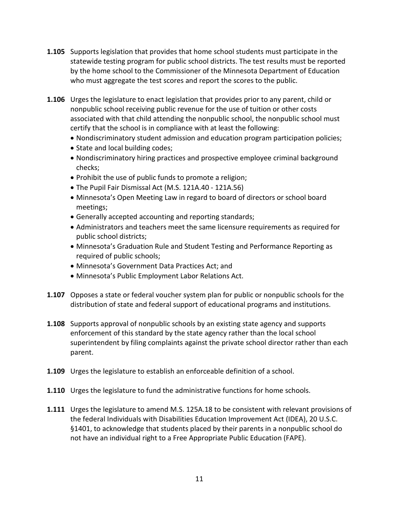- **1.105** Supports legislation that provides that home school students must participate in the statewide testing program for public school districts. The test results must be reported by the home school to the Commissioner of the Minnesota Department of Education who must aggregate the test scores and report the scores to the public.
- **1.106** Urges the legislature to enact legislation that provides prior to any parent, child or nonpublic school receiving public revenue for the use of tuition or other costs associated with that child attending the nonpublic school, the nonpublic school must certify that the school is in compliance with at least the following:
	- Nondiscriminatory student admission and education program participation policies;
	- State and local building codes;
	- Nondiscriminatory hiring practices and prospective employee criminal background checks;
	- Prohibit the use of public funds to promote a religion;
	- The Pupil Fair Dismissal Act (M.S. 121A.40 121A.56)
	- Minnesota's Open Meeting Law in regard to board of directors or school board meetings;
	- Generally accepted accounting and reporting standards;
	- Administrators and teachers meet the same licensure requirements as required for public school districts;
	- Minnesota's Graduation Rule and Student Testing and Performance Reporting as required of public schools;
	- Minnesota's Government Data Practices Act; and
	- Minnesota's Public Employment Labor Relations Act.
- **1.107** Opposes a state or federal voucher system plan for public or nonpublic schools for the distribution of state and federal support of educational programs and institutions.
- **1.108** Supports approval of nonpublic schools by an existing state agency and supports enforcement of this standard by the state agency rather than the local school superintendent by filing complaints against the private school director rather than each parent.
- **1.109** Urges the legislature to establish an enforceable definition of a school.
- **1.110** Urges the legislature to fund the administrative functions for home schools.
- **1.111** Urges the legislature to amend M.S. 125A.18 to be consistent with relevant provisions of the federal Individuals with Disabilities Education Improvement Act (IDEA), 20 U.S.C. §1401, to acknowledge that students placed by their parents in a nonpublic school do not have an individual right to a Free Appropriate Public Education (FAPE).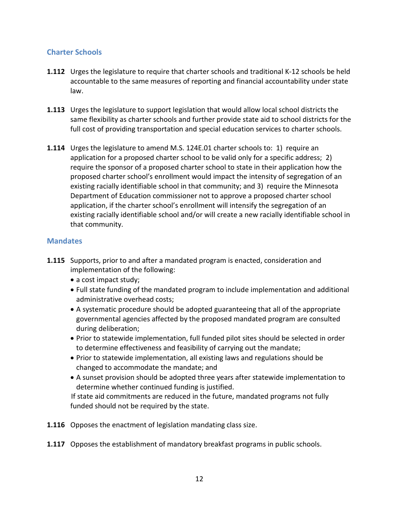### **Charter Schools**

- **1.112** Urges the legislature to require that charter schools and traditional K-12 schools be held accountable to the same measures of reporting and financial accountability under state law.
- **1.113** Urges the legislature to support legislation that would allow local school districts the same flexibility as charter schools and further provide state aid to school districts for the full cost of providing transportation and special education services to charter schools.
- **1.114** Urges the legislature to amend M.S. 124E.01 charter schools to: 1) require an application for a proposed charter school to be valid only for a specific address; 2) require the sponsor of a proposed charter school to state in their application how the proposed charter school's enrollment would impact the intensity of segregation of an existing racially identifiable school in that community; and 3) require the Minnesota Department of Education commissioner not to approve a proposed charter school application, if the charter school's enrollment will intensify the segregation of an existing racially identifiable school and/or will create a new racially identifiable school in that community.

#### **Mandates**

- **1.115** Supports, prior to and after a mandated program is enacted, consideration and implementation of the following:
	- a cost impact study;
	- Full state funding of the mandated program to include implementation and additional administrative overhead costs;
	- A systematic procedure should be adopted guaranteeing that all of the appropriate governmental agencies affected by the proposed mandated program are consulted during deliberation;
	- Prior to statewide implementation, full funded pilot sites should be selected in order to determine effectiveness and feasibility of carrying out the mandate;
	- Prior to statewide implementation, all existing laws and regulations should be changed to accommodate the mandate; and
	- A sunset provision should be adopted three years after statewide implementation to determine whether continued funding is justified.

 If state aid commitments are reduced in the future, mandated programs not fully funded should not be required by the state.

**1.116** Opposes the enactment of legislation mandating class size.

**1.117** Opposes the establishment of mandatory breakfast programs in public schools.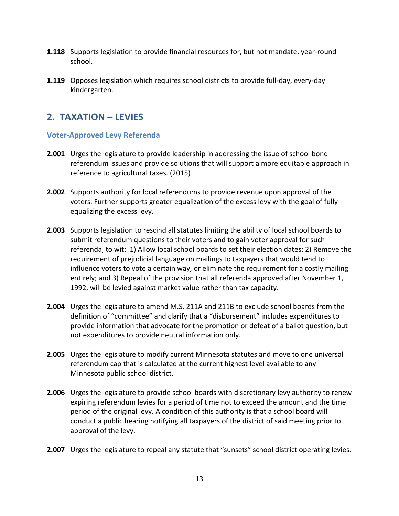- **1.118** Supports legislation to provide financial resources for, but not mandate, year-round school.
- **1.119** Opposes legislation which requires school districts to provide full-day, every-day kindergarten.

# **2. TAXATION – LEVIES**

#### **Voter-Approved Levy Referenda**

- **2.001** Urges the legislature to provide leadership in addressing the issue of school bond referendum issues and provide solutions that will support a more equitable approach in reference to agricultural taxes. (2015)
- **2.002** Supports authority for local referendums to provide revenue upon approval of the voters. Further supports greater equalization of the excess levy with the goal of fully equalizing the excess levy.
- **2.003** Supports legislation to rescind all statutes limiting the ability of local school boards to submit referendum questions to their voters and to gain voter approval for such referenda, to wit: 1) Allow local school boards to set their election dates; 2) Remove the requirement of prejudicial language on mailings to taxpayers that would tend to influence voters to vote a certain way, or eliminate the requirement for a costly mailing entirely; and 3) Repeal of the provision that all referenda approved after November 1, 1992, will be levied against market value rather than tax capacity.
- **2.004** Urges the legislature to amend M.S. 211A and 211B to exclude school boards from the definition of "committee" and clarify that a "disbursement" includes expenditures to provide information that advocate for the promotion or defeat of a ballot question, but not expenditures to provide neutral information only.
- **2.005** Urges the legislature to modify current Minnesota statutes and move to one universal referendum cap that is calculated at the current highest level available to any Minnesota public school district.
- **2.006** Urges the legislature to provide school boards with discretionary levy authority to renew expiring referendum levies for a period of time not to exceed the amount and the time period of the original levy. A condition of this authority is that a school board will conduct a public hearing notifying all taxpayers of the district of said meeting prior to approval of the levy.
- **2.007** Urges the legislature to repeal any statute that "sunsets" school district operating levies.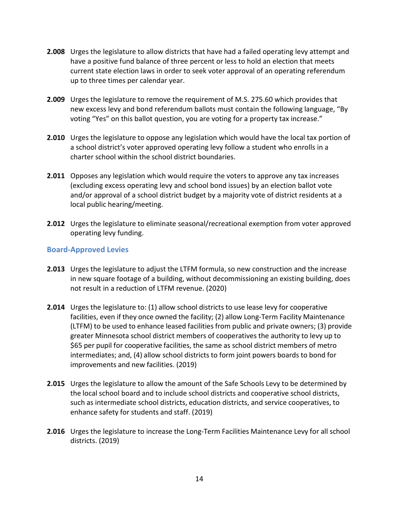- **2.008** Urges the legislature to allow districts that have had a failed operating levy attempt and have a positive fund balance of three percent or less to hold an election that meets current state election laws in order to seek voter approval of an operating referendum up to three times per calendar year.
- **2.009** Urges the legislature to remove the requirement of M.S. 275.60 which provides that new excess levy and bond referendum ballots must contain the following language, "By voting "Yes" on this ballot question, you are voting for a property tax increase."
- **2.010** Urges the legislature to oppose any legislation which would have the local tax portion of a school district's voter approved operating levy follow a student who enrolls in a charter school within the school district boundaries.
- **2.011** Opposes any legislation which would require the voters to approve any tax increases (excluding excess operating levy and school bond issues) by an election ballot vote and/or approval of a school district budget by a majority vote of district residents at a local public hearing/meeting.
- **2.012** Urges the legislature to eliminate seasonal/recreational exemption from voter approved operating levy funding.

#### **Board-Approved Levies**

- **2.013** Urges the legislature to adjust the LTFM formula, so new construction and the increase in new square footage of a building, without decommissioning an existing building, does not result in a reduction of LTFM revenue. (2020)
- **2.014** Urges the legislature to: (1) allow school districts to use lease levy for cooperative facilities, even if they once owned the facility; (2) allow Long-Term Facility Maintenance (LTFM) to be used to enhance leased facilities from public and private owners; (3) provide greater Minnesota school district members of cooperatives the authority to levy up to \$65 per pupil for cooperative facilities, the same as school district members of metro intermediates; and, (4) allow school districts to form joint powers boards to bond for improvements and new facilities. (2019)
- **2.015** Urges the legislature to allow the amount of the Safe Schools Levy to be determined by the local school board and to include school districts and cooperative school districts, such as intermediate school districts, education districts, and service cooperatives, to enhance safety for students and staff. (2019)
- **2.016** Urges the legislature to increase the Long-Term Facilities Maintenance Levy for all school districts. (2019)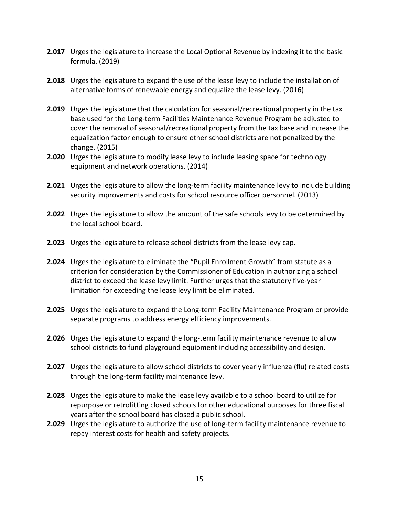- **2.017** Urges the legislature to increase the Local Optional Revenue by indexing it to the basic formula. (2019)
- **2.018** Urges the legislature to expand the use of the lease levy to include the installation of alternative forms of renewable energy and equalize the lease levy. (2016)
- **2.019** Urges the legislature that the calculation for seasonal/recreational property in the tax base used for the Long-term Facilities Maintenance Revenue Program be adjusted to cover the removal of seasonal/recreational property from the tax base and increase the equalization factor enough to ensure other school districts are not penalized by the change. (2015)
- **2.020** Urges the legislature to modify lease levy to include leasing space for technology equipment and network operations. (2014)
- **2.021** Urges the legislature to allow the long-term facility maintenance levy to include building security improvements and costs for school resource officer personnel. (2013)
- **2.022** Urges the legislature to allow the amount of the safe schools levy to be determined by the local school board.
- **2.023** Urges the legislature to release school districts from the lease levy cap.
- **2.024** Urges the legislature to eliminate the "Pupil Enrollment Growth" from statute as a criterion for consideration by the Commissioner of Education in authorizing a school district to exceed the lease levy limit. Further urges that the statutory five-year limitation for exceeding the lease levy limit be eliminated.
- **2.025** Urges the legislature to expand the Long-term Facility Maintenance Program or provide separate programs to address energy efficiency improvements.
- **2.026** Urges the legislature to expand the long-term facility maintenance revenue to allow school districts to fund playground equipment including accessibility and design.
- **2.027** Urges the legislature to allow school districts to cover yearly influenza (flu) related costs through the long-term facility maintenance levy.
- **2.028** Urges the legislature to make the lease levy available to a school board to utilize for repurpose or retrofitting closed schools for other educational purposes for three fiscal years after the school board has closed a public school.
- **2.029** Urges the legislature to authorize the use of long-term facility maintenance revenue to repay interest costs for health and safety projects.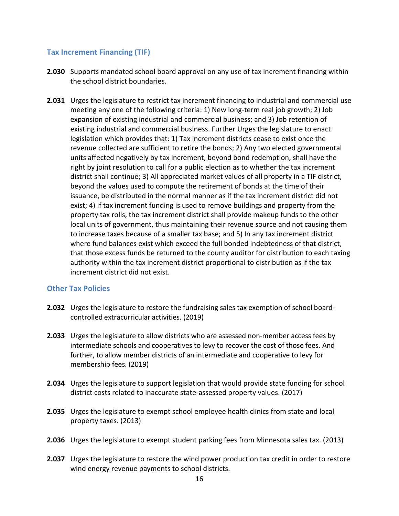#### **Tax Increment Financing (TIF)**

- **2.030** Supports mandated school board approval on any use of tax increment financing within the school district boundaries.
- **2.031** Urges the legislature to restrict tax increment financing to industrial and commercial use meeting any one of the following criteria: 1) New long-term real job growth; 2) Job expansion of existing industrial and commercial business; and 3) Job retention of existing industrial and commercial business. Further Urges the legislature to enact legislation which provides that: 1) Tax increment districts cease to exist once the revenue collected are sufficient to retire the bonds; 2) Any two elected governmental units affected negatively by tax increment, beyond bond redemption, shall have the right by joint resolution to call for a public election as to whether the tax increment district shall continue; 3) All appreciated market values of all property in a TIF district, beyond the values used to compute the retirement of bonds at the time of their issuance, be distributed in the normal manner as if the tax increment district did not exist; 4) If tax increment funding is used to remove buildings and property from the property tax rolls, the tax increment district shall provide makeup funds to the other local units of government, thus maintaining their revenue source and not causing them to increase taxes because of a smaller tax base; and 5) In any tax increment district where fund balances exist which exceed the full bonded indebtedness of that district, that those excess funds be returned to the county auditor for distribution to each taxing authority within the tax increment district proportional to distribution as if the tax increment district did not exist.

#### **Other Tax Policies**

- **2.032** Urges the legislature to restore the fundraising sales tax exemption of school boardcontrolled extracurricular activities. (2019)
- **2.033** Urges the legislature to allow districts who are assessed non-member access fees by intermediate schools and cooperatives to levy to recover the cost of those fees. And further, to allow member districts of an intermediate and cooperative to levy for membership fees. (2019)
- **2.034** Urges the legislature to support legislation that would provide state funding for school district costs related to inaccurate state-assessed property values. (2017)
- **2.035** Urges the legislature to exempt school employee health clinics from state and local property taxes. (2013)
- **2.036** Urges the legislature to exempt student parking fees from Minnesota sales tax. (2013)
- **2.037** Urges the legislature to restore the wind power production tax credit in order to restore wind energy revenue payments to school districts.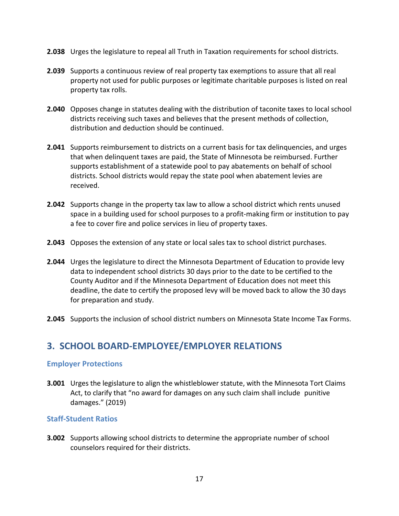- **2.038** Urges the legislature to repeal all Truth in Taxation requirements for school districts.
- **2.039** Supports a continuous review of real property tax exemptions to assure that all real property not used for public purposes or legitimate charitable purposes is listed on real property tax rolls.
- **2.040** Opposes change in statutes dealing with the distribution of taconite taxes to local school districts receiving such taxes and believes that the present methods of collection, distribution and deduction should be continued.
- **2.041** Supports reimbursement to districts on a current basis for tax delinquencies, and urges that when delinquent taxes are paid, the State of Minnesota be reimbursed. Further supports establishment of a statewide pool to pay abatements on behalf of school districts. School districts would repay the state pool when abatement levies are received.
- **2.042** Supports change in the property tax law to allow a school district which rents unused space in a building used for school purposes to a profit-making firm or institution to pay a fee to cover fire and police services in lieu of property taxes.
- **2.043** Opposes the extension of any state or local sales tax to school district purchases.
- **2.044** Urges the legislature to direct the Minnesota Department of Education to provide levy data to independent school districts 30 days prior to the date to be certified to the County Auditor and if the Minnesota Department of Education does not meet this deadline, the date to certify the proposed levy will be moved back to allow the 30 days for preparation and study.
- **2.045** Supports the inclusion of school district numbers on Minnesota State Income Tax Forms.

# **3. SCHOOL BOARD-EMPLOYEE/EMPLOYER RELATIONS**

#### **Employer Protections**

**3.001** Urges the legislature to align the whistleblower statute, with the Minnesota Tort Claims Act, to clarify that "no award for damages on any such claim shall include punitive damages." (2019)

#### **Staff-Student Ratios**

**3.002** Supports allowing school districts to determine the appropriate number of school counselors required for their districts.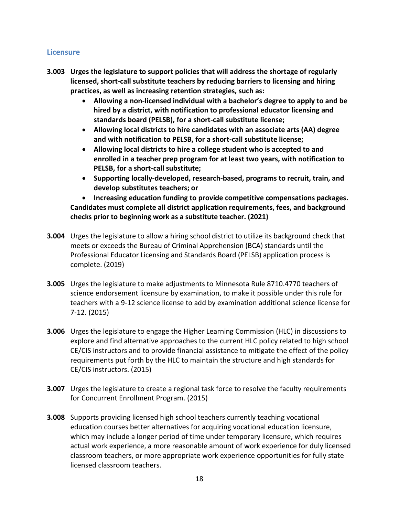#### **Licensure**

- **3.003 Urges the legislature to support policies that will address the shortage of regularly licensed, short-call substitute teachers by reducing barriers to licensing and hiring practices, as well as increasing retention strategies, such as:**
	- **Allowing a non-licensed individual with a bachelor's degree to apply to and be hired by a district, with notification to professional educator licensing and standards board (PELSB), for a short-call substitute license;**
	- **Allowing local districts to hire candidates with an associate arts (AA) degree and with notification to PELSB, for a short-call substitute license;**
	- **Allowing local districts to hire a college student who is accepted to and enrolled in a teacher prep program for at least two years, with notification to PELSB, for a short-call substitute;**
	- **Supporting locally-developed, research-based, programs to recruit, train, and develop substitutes teachers; or**

• **Increasing education funding to provide competitive compensations packages. Candidates must complete all district application requirements, fees, and background checks prior to beginning work as a substitute teacher. (2021)**

- **3.004** Urges the legislature to allow a hiring school district to utilize its background check that meets or exceeds the Bureau of Criminal Apprehension (BCA) standards until the Professional Educator Licensing and Standards Board (PELSB) application process is complete. (2019)
- **3.005** Urges the legislature to make adjustments to Minnesota Rule 8710.4770 teachers of science endorsement licensure by examination, to make it possible under this rule for teachers with a 9-12 science license to add by examination additional science license for 7-12. (2015)
- **3.006** Urges the legislature to engage the Higher Learning Commission (HLC) in discussions to explore and find alternative approaches to the current HLC policy related to high school CE/CIS instructors and to provide financial assistance to mitigate the effect of the policy requirements put forth by the HLC to maintain the structure and high standards for CE/CIS instructors. (2015)
- **3.007** Urges the legislature to create a regional task force to resolve the faculty requirements for Concurrent Enrollment Program. (2015)
- **3.008** Supports providing licensed high school teachers currently teaching vocational education courses better alternatives for acquiring vocational education licensure, which may include a longer period of time under temporary licensure, which requires actual work experience, a more reasonable amount of work experience for duly licensed classroom teachers, or more appropriate work experience opportunities for fully state licensed classroom teachers.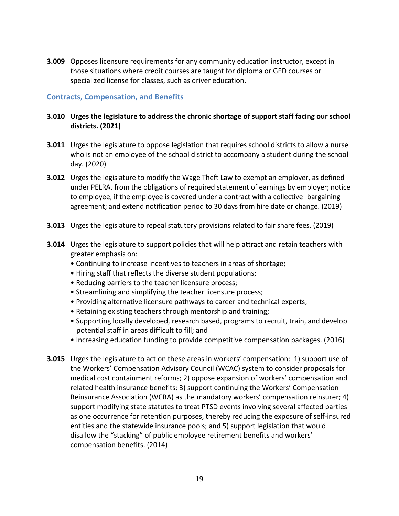**3.009** Opposes licensure requirements for any community education instructor, except in those situations where credit courses are taught for diploma or GED courses or specialized license for classes, such as driver education.

#### **Contracts, Compensation, and Benefits**

#### **3.010 Urges the legislature to address the chronic shortage of support staff facing our school districts. (2021)**

- **3.011** Urges the legislature to oppose legislation that requires school districts to allow a nurse who is not an employee of the school district to accompany a student during the school day. (2020)
- **3.012** Urges the legislature to modify the Wage Theft Law to exempt an employer, as defined under PELRA, from the obligations of required statement of earnings by employer; notice to employee, if the employee is covered under a contract with a collective bargaining agreement; and extend notification period to 30 days from hire date or change. (2019)
- **3.013** Urges the legislature to repeal statutory provisions related to fair share fees. (2019)
- **3.014** Urges the legislature to support policies that will help attract and retain teachers with greater emphasis on:
	- Continuing to increase incentives to teachers in areas of shortage;
	- Hiring staff that reflects the diverse student populations;
	- Reducing barriers to the teacher licensure process;
	- Streamlining and simplifying the teacher licensure process;
	- Providing alternative licensure pathways to career and technical experts;
	- Retaining existing teachers through mentorship and training;
	- Supporting locally developed, research based, programs to recruit, train, and develop potential staff in areas difficult to fill; and
	- Increasing education funding to provide competitive compensation packages. (2016)
- **3.015** Urges the legislature to act on these areas in workers' compensation: 1) support use of the Workers' Compensation Advisory Council (WCAC) system to consider proposals for medical cost containment reforms; 2) oppose expansion of workers' compensation and related health insurance benefits; 3) support continuing the Workers' Compensation Reinsurance Association (WCRA) as the mandatory workers' compensation reinsurer; 4) support modifying state statutes to treat PTSD events involving several affected parties as one occurrence for retention purposes, thereby reducing the exposure of self-insured entities and the statewide insurance pools; and 5) support legislation that would disallow the "stacking" of public employee retirement benefits and workers' compensation benefits. (2014)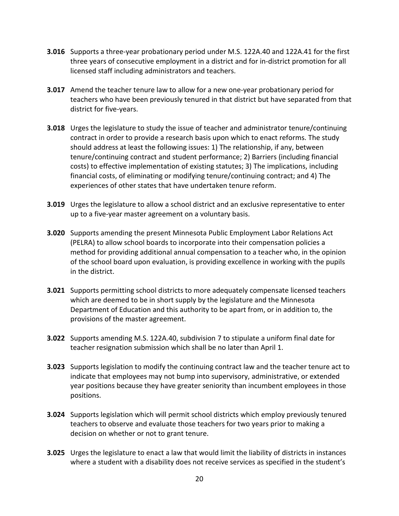- **3.016** Supports a three-year probationary period under M.S. 122A.40 and 122A.41 for the first three years of consecutive employment in a district and for in-district promotion for all licensed staff including administrators and teachers.
- **3.017** Amend the teacher tenure law to allow for a new one-year probationary period for teachers who have been previously tenured in that district but have separated from that district for five-years.
- **3.018** Urges the legislature to study the issue of teacher and administrator tenure/continuing contract in order to provide a research basis upon which to enact reforms. The study should address at least the following issues: 1) The relationship, if any, between tenure/continuing contract and student performance; 2) Barriers (including financial costs) to effective implementation of existing statutes; 3) The implications, including financial costs, of eliminating or modifying tenure/continuing contract; and 4) The experiences of other states that have undertaken tenure reform.
- **3.019** Urges the legislature to allow a school district and an exclusive representative to enter up to a five-year master agreement on a voluntary basis.
- **3.020** Supports amending the present Minnesota Public Employment Labor Relations Act (PELRA) to allow school boards to incorporate into their compensation policies a method for providing additional annual compensation to a teacher who, in the opinion of the school board upon evaluation, is providing excellence in working with the pupils in the district.
- **3.021** Supports permitting school districts to more adequately compensate licensed teachers which are deemed to be in short supply by the legislature and the Minnesota Department of Education and this authority to be apart from, or in addition to, the provisions of the master agreement.
- **3.022** Supports amending M.S. 122A.40, subdivision 7 to stipulate a uniform final date for teacher resignation submission which shall be no later than April 1.
- **3.023** Supports legislation to modify the continuing contract law and the teacher tenure act to indicate that employees may not bump into supervisory, administrative, or extended year positions because they have greater seniority than incumbent employees in those positions.
- **3.024** Supports legislation which will permit school districts which employ previously tenured teachers to observe and evaluate those teachers for two years prior to making a decision on whether or not to grant tenure.
- **3.025** Urges the legislature to enact a law that would limit the liability of districts in instances where a student with a disability does not receive services as specified in the student's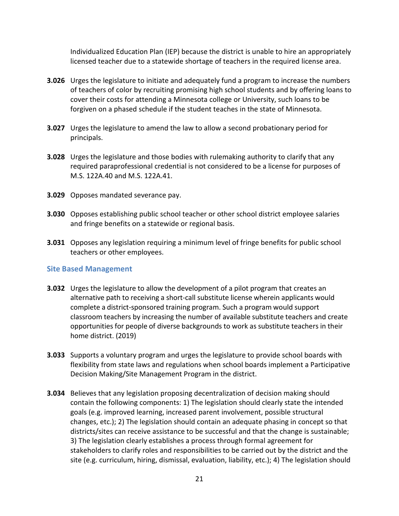Individualized Education Plan (IEP) because the district is unable to hire an appropriately licensed teacher due to a statewide shortage of teachers in the required license area.

- **3.026** Urges the legislature to initiate and adequately fund a program to increase the numbers of teachers of color by recruiting promising high school students and by offering loans to cover their costs for attending a Minnesota college or University, such loans to be forgiven on a phased schedule if the student teaches in the state of Minnesota.
- **3.027** Urges the legislature to amend the law to allow a second probationary period for principals.
- **3.028** Urges the legislature and those bodies with rulemaking authority to clarify that any required paraprofessional credential is not considered to be a license for purposes of M.S. 122A.40 and M.S. 122A.41.
- **3.029** Opposes mandated severance pay.
- **3.030** Opposes establishing public school teacher or other school district employee salaries and fringe benefits on a statewide or regional basis.
- **3.031** Opposes any legislation requiring a minimum level of fringe benefits for public school teachers or other employees.

#### **Site Based Management**

- **3.032** Urges the legislature to allow the development of a pilot program that creates an alternative path to receiving a short-call substitute license wherein applicants would complete a district-sponsored training program. Such a program would support classroom teachers by increasing the number of available substitute teachers and create opportunities for people of diverse backgrounds to work as substitute teachers in their home district. (2019)
- **3.033** Supports a voluntary program and urges the legislature to provide school boards with flexibility from state laws and regulations when school boards implement a Participative Decision Making/Site Management Program in the district.
- **3.034** Believes that any legislation proposing decentralization of decision making should contain the following components: 1) The legislation should clearly state the intended goals (e.g. improved learning, increased parent involvement, possible structural changes, etc.); 2) The legislation should contain an adequate phasing in concept so that districts/sites can receive assistance to be successful and that the change is sustainable; 3) The legislation clearly establishes a process through formal agreement for stakeholders to clarify roles and responsibilities to be carried out by the district and the site (e.g. curriculum, hiring, dismissal, evaluation, liability, etc.); 4) The legislation should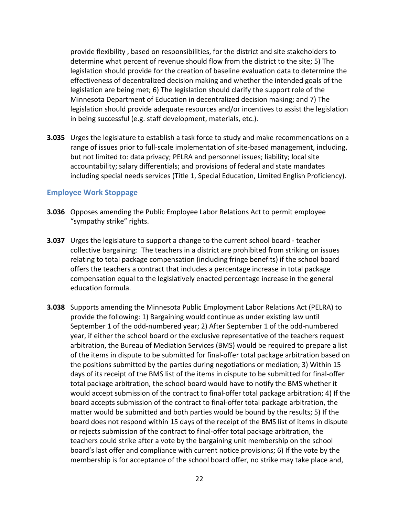provide flexibility , based on responsibilities, for the district and site stakeholders to determine what percent of revenue should flow from the district to the site; 5) The legislation should provide for the creation of baseline evaluation data to determine the effectiveness of decentralized decision making and whether the intended goals of the legislation are being met; 6) The legislation should clarify the support role of the Minnesota Department of Education in decentralized decision making; and 7) The legislation should provide adequate resources and/or incentives to assist the legislation in being successful (e.g. staff development, materials, etc.).

**3.035** Urges the legislature to establish a task force to study and make recommendations on a range of issues prior to full-scale implementation of site-based management, including, but not limited to: data privacy; PELRA and personnel issues; liability; local site accountability; salary differentials; and provisions of federal and state mandates including special needs services (Title 1, Special Education, Limited English Proficiency).

#### **Employee Work Stoppage**

- **3.036** Opposes amending the Public Employee Labor Relations Act to permit employee "sympathy strike" rights.
- **3.037** Urges the legislature to support a change to the current school board teacher collective bargaining: The teachers in a district are prohibited from striking on issues relating to total package compensation (including fringe benefits) if the school board offers the teachers a contract that includes a percentage increase in total package compensation equal to the legislatively enacted percentage increase in the general education formula.
- **3.038** Supports amending the Minnesota Public Employment Labor Relations Act (PELRA) to provide the following: 1) Bargaining would continue as under existing law until September 1 of the odd-numbered year; 2) After September 1 of the odd-numbered year, if either the school board or the exclusive representative of the teachers request arbitration, the Bureau of Mediation Services (BMS) would be required to prepare a list of the items in dispute to be submitted for final-offer total package arbitration based on the positions submitted by the parties during negotiations or mediation; 3) Within 15 days of its receipt of the BMS list of the items in dispute to be submitted for final-offer total package arbitration, the school board would have to notify the BMS whether it would accept submission of the contract to final-offer total package arbitration; 4) If the board accepts submission of the contract to final-offer total package arbitration, the matter would be submitted and both parties would be bound by the results; 5) If the board does not respond within 15 days of the receipt of the BMS list of items in dispute or rejects submission of the contract to final-offer total package arbitration, the teachers could strike after a vote by the bargaining unit membership on the school board's last offer and compliance with current notice provisions; 6) If the vote by the membership is for acceptance of the school board offer, no strike may take place and,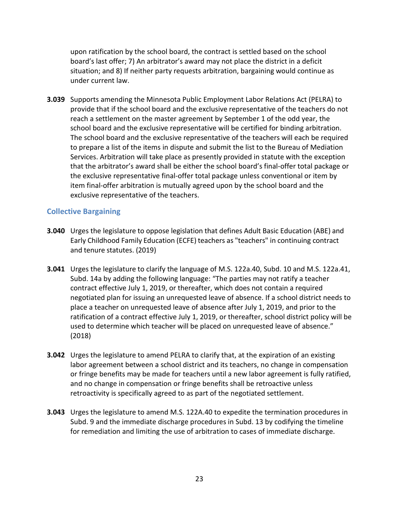upon ratification by the school board, the contract is settled based on the school board's last offer; 7) An arbitrator's award may not place the district in a deficit situation; and 8) If neither party requests arbitration, bargaining would continue as under current law.

**3.039** Supports amending the Minnesota Public Employment Labor Relations Act (PELRA) to provide that if the school board and the exclusive representative of the teachers do not reach a settlement on the master agreement by September 1 of the odd year, the school board and the exclusive representative will be certified for binding arbitration. The school board and the exclusive representative of the teachers will each be required to prepare a list of the items in dispute and submit the list to the Bureau of Mediation Services. Arbitration will take place as presently provided in statute with the exception that the arbitrator's award shall be either the school board's final-offer total package or the exclusive representative final-offer total package unless conventional or item by item final-offer arbitration is mutually agreed upon by the school board and the exclusive representative of the teachers.

#### **Collective Bargaining**

- **3.040** Urges the legislature to oppose legislation that defines Adult Basic Education (ABE) and Early Childhood Family Education (ECFE) teachers as "teachers" in continuing contract and tenure statutes. (2019)
- **3.041** Urges the legislature to clarify the language of M.S. 122a.40, Subd. 10 and M.S. 122a.41, Subd. 14a by adding the following language: "The parties may not ratify a teacher contract effective July 1, 2019, or thereafter, which does not contain a required negotiated plan for issuing an unrequested leave of absence. If a school district needs to place a teacher on unrequested leave of absence after July 1, 2019, and prior to the ratification of a contract effective July 1, 2019, or thereafter, school district policy will be used to determine which teacher will be placed on unrequested leave of absence." (2018)
- **3.042** Urges the legislature to amend PELRA to clarify that, at the expiration of an existing labor agreement between a school district and its teachers, no change in compensation or fringe benefits may be made for teachers until a new labor agreement is fully ratified, and no change in compensation or fringe benefits shall be retroactive unless retroactivity is specifically agreed to as part of the negotiated settlement.
- **3.043** Urges the legislature to amend M.S. 122A.40 to expedite the termination procedures in Subd. 9 and the immediate discharge procedures in Subd. 13 by codifying the timeline for remediation and limiting the use of arbitration to cases of immediate discharge.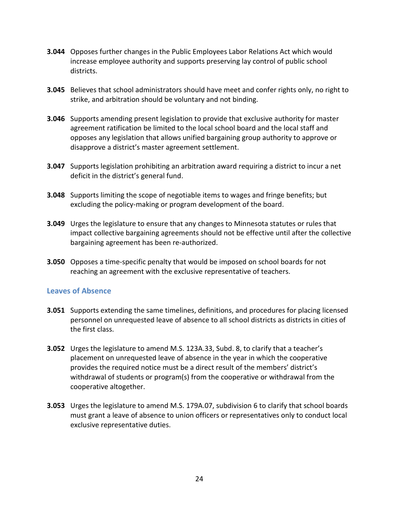- **3.044** Opposes further changes in the Public Employees Labor Relations Act which would increase employee authority and supports preserving lay control of public school districts.
- **3.045** Believes that school administrators should have meet and confer rights only, no right to strike, and arbitration should be voluntary and not binding.
- **3.046** Supports amending present legislation to provide that exclusive authority for master agreement ratification be limited to the local school board and the local staff and opposes any legislation that allows unified bargaining group authority to approve or disapprove a district's master agreement settlement.
- **3.047** Supports legislation prohibiting an arbitration award requiring a district to incur a net deficit in the district's general fund.
- **3.048** Supports limiting the scope of negotiable items to wages and fringe benefits; but excluding the policy-making or program development of the board.
- **3.049** Urges the legislature to ensure that any changes to Minnesota statutes or rules that impact collective bargaining agreements should not be effective until after the collective bargaining agreement has been re-authorized.
- **3.050** Opposes a time-specific penalty that would be imposed on school boards for not reaching an agreement with the exclusive representative of teachers.

#### **Leaves of Absence**

- **3.051** Supports extending the same timelines, definitions, and procedures for placing licensed personnel on unrequested leave of absence to all school districts as districts in cities of the first class.
- **3.052** Urges the legislature to amend M.S. 123A.33, Subd. 8, to clarify that a teacher's placement on unrequested leave of absence in the year in which the cooperative provides the required notice must be a direct result of the members' district's withdrawal of students or program(s) from the cooperative or withdrawal from the cooperative altogether.
- **3.053** Urges the legislature to amend M.S. 179A.07, subdivision 6 to clarify that school boards must grant a leave of absence to union officers or representatives only to conduct local exclusive representative duties.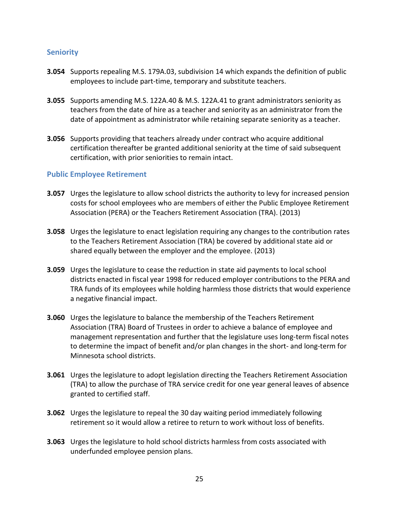#### **Seniority**

- **3.054** Supports repealing M.S. 179A.03, subdivision 14 which expands the definition of public employees to include part-time, temporary and substitute teachers.
- **3.055** Supports amending M.S. 122A.40 & M.S. 122A.41 to grant administrators seniority as teachers from the date of hire as a teacher and seniority as an administrator from the date of appointment as administrator while retaining separate seniority as a teacher.
- **3.056** Supports providing that teachers already under contract who acquire additional certification thereafter be granted additional seniority at the time of said subsequent certification, with prior seniorities to remain intact.

#### **Public Employee Retirement**

- **3.057** Urges the legislature to allow school districts the authority to levy for increased pension costs for school employees who are members of either the Public Employee Retirement Association (PERA) or the Teachers Retirement Association (TRA). (2013)
- **3.058** Urges the legislature to enact legislation requiring any changes to the contribution rates to the Teachers Retirement Association (TRA) be covered by additional state aid or shared equally between the employer and the employee. (2013)
- **3.059** Urges the legislature to cease the reduction in state aid payments to local school districts enacted in fiscal year 1998 for reduced employer contributions to the PERA and TRA funds of its employees while holding harmless those districts that would experience a negative financial impact.
- **3.060** Urges the legislature to balance the membership of the Teachers Retirement Association (TRA) Board of Trustees in order to achieve a balance of employee and management representation and further that the legislature uses long-term fiscal notes to determine the impact of benefit and/or plan changes in the short- and long-term for Minnesota school districts.
- **3.061** Urges the legislature to adopt legislation directing the Teachers Retirement Association (TRA) to allow the purchase of TRA service credit for one year general leaves of absence granted to certified staff.
- **3.062** Urges the legislature to repeal the 30 day waiting period immediately following retirement so it would allow a retiree to return to work without loss of benefits.
- **3.063** Urges the legislature to hold school districts harmless from costs associated with underfunded employee pension plans.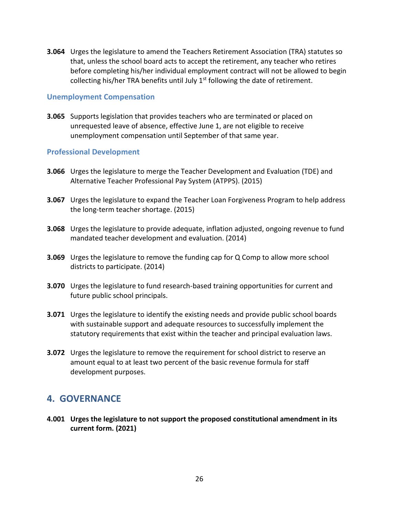**3.064** Urges the legislature to amend the Teachers Retirement Association (TRA) statutes so that, unless the school board acts to accept the retirement, any teacher who retires before completing his/her individual employment contract will not be allowed to begin collecting his/her TRA benefits until July  $1<sup>st</sup>$  following the date of retirement.

#### **Unemployment Compensation**

**3.065** Supports legislation that provides teachers who are terminated or placed on unrequested leave of absence, effective June 1, are not eligible to receive unemployment compensation until September of that same year.

#### **Professional Development**

- **3.066** Urges the legislature to merge the Teacher Development and Evaluation (TDE) and Alternative Teacher Professional Pay System (ATPPS). (2015)
- **3.067** Urges the legislature to expand the Teacher Loan Forgiveness Program to help address the long-term teacher shortage. (2015)
- **3.068** Urges the legislature to provide adequate, inflation adjusted, ongoing revenue to fund mandated teacher development and evaluation. (2014)
- **3.069** Urges the legislature to remove the funding cap for Q Comp to allow more school districts to participate. (2014)
- **3.070** Urges the legislature to fund research-based training opportunities for current and future public school principals.
- **3.071** Urges the legislature to identify the existing needs and provide public school boards with sustainable support and adequate resources to successfully implement the statutory requirements that exist within the teacher and principal evaluation laws.
- **3.072** Urges the legislature to remove the requirement for school district to reserve an amount equal to at least two percent of the basic revenue formula for staff development purposes.

### **4. GOVERNANCE**

**4.001 Urges the legislature to not support the proposed constitutional amendment in its current form. (2021)**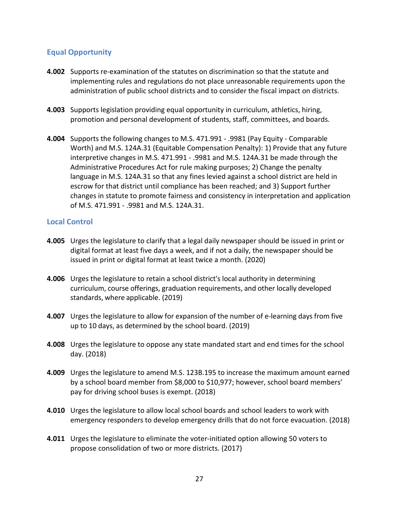### **Equal Opportunity**

- **4.002** Supports re-examination of the statutes on discrimination so that the statute and implementing rules and regulations do not place unreasonable requirements upon the administration of public school districts and to consider the fiscal impact on districts.
- **4.003** Supports legislation providing equal opportunity in curriculum, athletics, hiring, promotion and personal development of students, staff, committees, and boards.
- **4.004** Supports the following changes to M.S. 471.991 .9981 (Pay Equity Comparable Worth) and M.S. 124A.31 (Equitable Compensation Penalty): 1) Provide that any future interpretive changes in M.S. 471.991 - .9981 and M.S. 124A.31 be made through the Administrative Procedures Act for rule making purposes; 2) Change the penalty language in M.S. 124A.31 so that any fines levied against a school district are held in escrow for that district until compliance has been reached; and 3) Support further changes in statute to promote fairness and consistency in interpretation and application of M.S. 471.991 - .9981 and M.S. 124A.31.

#### **Local Control**

- **4.005** Urges the legislature to clarify that a legal daily newspaper should be issued in print or digital format at least five days a week, and if not a daily, the newspaper should be issued in print or digital format at least twice a month. (2020)
- **4.006** Urges the legislature to retain a school district's local authority in determining curriculum, course offerings, graduation requirements, and other locally developed standards, where applicable. (2019)
- **4.007** Urges the legislature to allow for expansion of the number of e-learning days from five up to 10 days, as determined by the school board. (2019)
- **4.008** Urges the legislature to oppose any state mandated start and end times for the school day. (2018)
- **4.009** Urges the legislature to amend M.S. 123B.195 to increase the maximum amount earned by a school board member from \$8,000 to \$10,977; however, school board members' pay for driving school buses is exempt. (2018)
- **4.010** Urges the legislature to allow local school boards and school leaders to work with emergency responders to develop emergency drills that do not force evacuation. (2018)
- **4.011** Urges the legislature to eliminate the voter-initiated option allowing 50 voters to propose consolidation of two or more districts. (2017)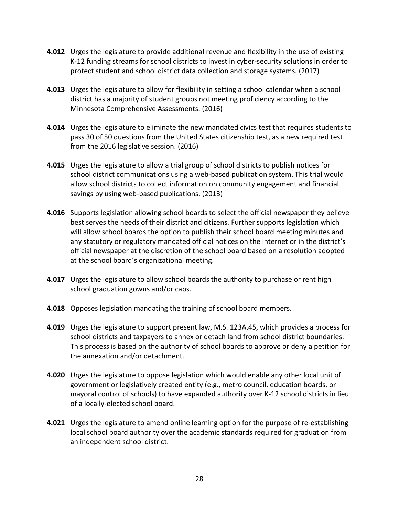- **4.012** Urges the legislature to provide additional revenue and flexibility in the use of existing K-12 funding streams for school districts to invest in cyber-security solutions in order to protect student and school district data collection and storage systems. (2017)
- **4.013** Urges the legislature to allow for flexibility in setting a school calendar when a school district has a majority of student groups not meeting proficiency according to the Minnesota Comprehensive Assessments. (2016)
- **4.014** Urges the legislature to eliminate the new mandated civics test that requires students to pass 30 of 50 questions from the United States citizenship test, as a new required test from the 2016 legislative session. (2016)
- **4.015** Urges the legislature to allow a trial group of school districts to publish notices for school district communications using a web-based publication system. This trial would allow school districts to collect information on community engagement and financial savings by using web-based publications. (2013)
- **4.016** Supports legislation allowing school boards to select the official newspaper they believe best serves the needs of their district and citizens. Further supports legislation which will allow school boards the option to publish their school board meeting minutes and any statutory or regulatory mandated official notices on the internet or in the district's official newspaper at the discretion of the school board based on a resolution adopted at the school board's organizational meeting.
- **4.017** Urges the legislature to allow school boards the authority to purchase or rent high school graduation gowns and/or caps.
- **4.018** Opposes legislation mandating the training of school board members.
- **4.019** Urges the legislature to support present law, M.S. 123A.45, which provides a process for school districts and taxpayers to annex or detach land from school district boundaries. This process is based on the authority of school boards to approve or deny a petition for the annexation and/or detachment.
- **4.020** Urges the legislature to oppose legislation which would enable any other local unit of government or legislatively created entity (e.g., metro council, education boards, or mayoral control of schools) to have expanded authority over K-12 school districts in lieu of a locally-elected school board.
- **4.021** Urges the legislature to amend online learning option for the purpose of re-establishing local school board authority over the academic standards required for graduation from an independent school district.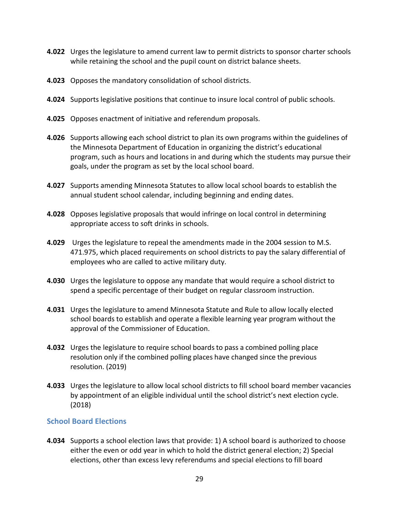- **4.022** Urges the legislature to amend current law to permit districts to sponsor charter schools while retaining the school and the pupil count on district balance sheets.
- **4.023** Opposes the mandatory consolidation of school districts.
- **4.024** Supports legislative positions that continue to insure local control of public schools.
- **4.025** Opposes enactment of initiative and referendum proposals.
- **4.026** Supports allowing each school district to plan its own programs within the guidelines of the Minnesota Department of Education in organizing the district's educational program, such as hours and locations in and during which the students may pursue their goals, under the program as set by the local school board.
- **4.027** Supports amending Minnesota Statutes to allow local school boards to establish the annual student school calendar, including beginning and ending dates.
- **4.028** Opposes legislative proposals that would infringe on local control in determining appropriate access to soft drinks in schools.
- **4.029** Urges the legislature to repeal the amendments made in the 2004 session to M.S. 471.975, which placed requirements on school districts to pay the salary differential of employees who are called to active military duty.
- **4.030** Urges the legislature to oppose any mandate that would require a school district to spend a specific percentage of their budget on regular classroom instruction.
- **4.031** Urges the legislature to amend Minnesota Statute and Rule to allow locally elected school boards to establish and operate a flexible learning year program without the approval of the Commissioner of Education.
- **4.032** Urges the legislature to require school boards to pass a combined polling place resolution only if the combined polling places have changed since the previous resolution. (2019)
- **4.033** Urges the legislature to allow local school districts to fill school board member vacancies by appointment of an eligible individual until the school district's next election cycle. (2018)

#### **School Board Elections**

**4.034** Supports a school election laws that provide: 1) A school board is authorized to choose either the even or odd year in which to hold the district general election; 2) Special elections, other than excess levy referendums and special elections to fill board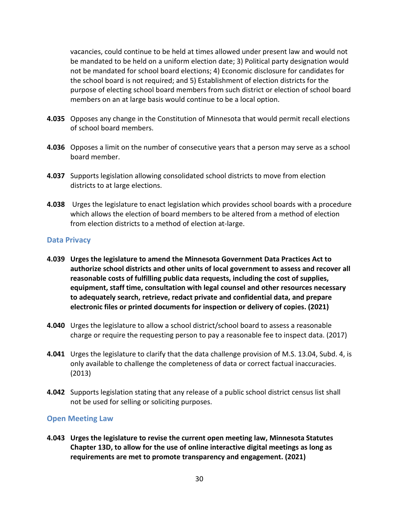vacancies, could continue to be held at times allowed under present law and would not be mandated to be held on a uniform election date; 3) Political party designation would not be mandated for school board elections; 4) Economic disclosure for candidates for the school board is not required; and 5) Establishment of election districts for the purpose of electing school board members from such district or election of school board members on an at large basis would continue to be a local option.

- **4.035** Opposes any change in the Constitution of Minnesota that would permit recall elections of school board members.
- **4.036** Opposes a limit on the number of consecutive years that a person may serve as a school board member.
- **4.037** Supports legislation allowing consolidated school districts to move from election districts to at large elections.
- **4.038** Urges the legislature to enact legislation which provides school boards with a procedure which allows the election of board members to be altered from a method of election from election districts to a method of election at-large.

#### **Data Privacy**

- **4.039 Urges the legislature to amend the Minnesota Government Data Practices Act to authorize school districts and other units of local government to assess and recover all reasonable costs of fulfilling public data requests, including the cost of supplies, equipment, staff time, consultation with legal counsel and other resources necessary to adequately search, retrieve, redact private and confidential data, and prepare electronic files or printed documents for inspection or delivery of copies. (2021)**
- **4.040** Urges the legislature to allow a school district/school board to assess a reasonable charge or require the requesting person to pay a reasonable fee to inspect data. (2017)
- **4.041** Urges the legislature to clarify that the data challenge provision of M.S. 13.04, Subd. 4, is only available to challenge the completeness of data or correct factual inaccuracies. (2013)
- **4.042** Supports legislation stating that any release of a public school district census list shall not be used for selling or soliciting purposes.

#### **Open Meeting Law**

**4.043 Urges the legislature to revise the current open meeting law, Minnesota Statutes Chapter 13D, to allow for the use of online interactive digital meetings as long as requirements are met to promote transparency and engagement. (2021)**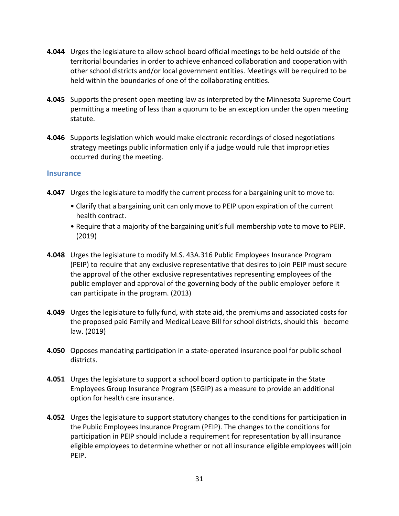- **4.044** Urges the legislature to allow school board official meetings to be held outside of the territorial boundaries in order to achieve enhanced collaboration and cooperation with other school districts and/or local government entities. Meetings will be required to be held within the boundaries of one of the collaborating entities.
- **4.045** Supports the present open meeting law as interpreted by the Minnesota Supreme Court permitting a meeting of less than a quorum to be an exception under the open meeting statute.
- **4.046** Supports legislation which would make electronic recordings of closed negotiations strategy meetings public information only if a judge would rule that improprieties occurred during the meeting.

#### **Insurance**

- **4.047** Urges the legislature to modify the current process for a bargaining unit to move to:
	- Clarify that a bargaining unit can only move to PEIP upon expiration of the current health contract.
	- Require that a majority of the bargaining unit's full membership vote to move to PEIP. (2019)
- **4.048** Urges the legislature to modify M.S. 43A.316 Public Employees Insurance Program (PEIP) to require that any exclusive representative that desires to join PEIP must secure the approval of the other exclusive representatives representing employees of the public employer and approval of the governing body of the public employer before it can participate in the program. (2013)
- **4.049** Urges the legislature to fully fund, with state aid, the premiums and associated costs for the proposed paid Family and Medical Leave Bill for school districts, should this become law. (2019)
- **4.050** Opposes mandating participation in a state-operated insurance pool for public school districts.
- **4.051** Urges the legislature to support a school board option to participate in the State Employees Group Insurance Program (SEGIP) as a measure to provide an additional option for health care insurance.
- **4.052** Urges the legislature to support statutory changes to the conditions for participation in the Public Employees Insurance Program (PEIP). The changes to the conditions for participation in PEIP should include a requirement for representation by all insurance eligible employees to determine whether or not all insurance eligible employees will join PEIP.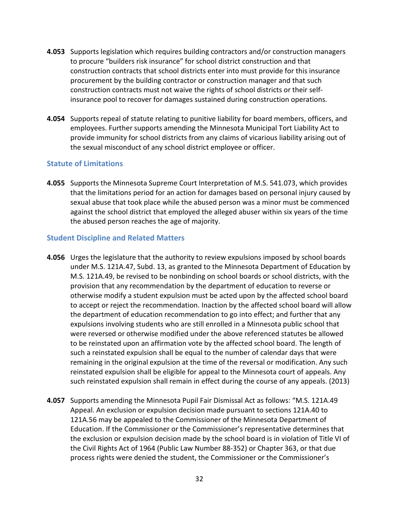- **4.053** Supports legislation which requires building contractors and/or construction managers to procure "builders risk insurance" for school district construction and that construction contracts that school districts enter into must provide for this insurance procurement by the building contractor or construction manager and that such construction contracts must not waive the rights of school districts or their selfinsurance pool to recover for damages sustained during construction operations.
- **4.054** Supports repeal of statute relating to punitive liability for board members, officers, and employees. Further supports amending the Minnesota Municipal Tort Liability Act to provide immunity for school districts from any claims of vicarious liability arising out of the sexual misconduct of any school district employee or officer.

#### **Statute of Limitations**

**4.055** Supports the Minnesota Supreme Court Interpretation of M.S. 541.073, which provides that the limitations period for an action for damages based on personal injury caused by sexual abuse that took place while the abused person was a minor must be commenced against the school district that employed the alleged abuser within six years of the time the abused person reaches the age of majority.

#### **Student Discipline and Related Matters**

- **4.056** Urges the legislature that the authority to review expulsions imposed by school boards under M.S. 121A.47, Subd. 13, as granted to the Minnesota Department of Education by M.S. 121A.49, be revised to be nonbinding on school boards or school districts, with the provision that any recommendation by the department of education to reverse or otherwise modify a student expulsion must be acted upon by the affected school board to accept or reject the recommendation. Inaction by the affected school board will allow the department of education recommendation to go into effect; and further that any expulsions involving students who are still enrolled in a Minnesota public school that were reversed or otherwise modified under the above referenced statutes be allowed to be reinstated upon an affirmation vote by the affected school board. The length of such a reinstated expulsion shall be equal to the number of calendar days that were remaining in the original expulsion at the time of the reversal or modification. Any such reinstated expulsion shall be eligible for appeal to the Minnesota court of appeals. Any such reinstated expulsion shall remain in effect during the course of any appeals. (2013)
- **4.057** Supports amending the Minnesota Pupil Fair Dismissal Act as follows: "M.S. 121A.49 Appeal. An exclusion or expulsion decision made pursuant to sections 121A.40 to 121A.56 may be appealed to the Commissioner of the Minnesota Department of Education. If the Commissioner or the Commissioner's representative determines that the exclusion or expulsion decision made by the school board is in violation of Title VI of the Civil Rights Act of 1964 (Public Law Number 88-352) or Chapter 363, or that due process rights were denied the student, the Commissioner or the Commissioner's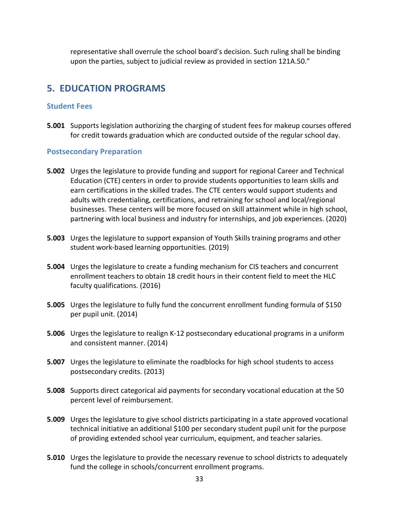representative shall overrule the school board's decision. Such ruling shall be binding upon the parties, subject to judicial review as provided in section 121A.50."

# **5. EDUCATION PROGRAMS**

#### **Student Fees**

**5.001** Supports legislation authorizing the charging of student fees for makeup courses offered for credit towards graduation which are conducted outside of the regular school day.

#### **Postsecondary Preparation**

- **5.002** Urges the legislature to provide funding and support for regional Career and Technical Education (CTE) centers in order to provide students opportunities to learn skills and earn certifications in the skilled trades. The CTE centers would support students and adults with credentialing, certifications, and retraining for school and local/regional businesses. These centers will be more focused on skill attainment while in high school, partnering with local business and industry for internships, and job experiences. (2020)
- **5.003** Urges the legislature to support expansion of Youth Skills training programs and other student work-based learning opportunities. (2019)
- **5.004** Urges the legislature to create a funding mechanism for CIS teachers and concurrent enrollment teachers to obtain 18 credit hours in their content field to meet the HLC faculty qualifications. (2016)
- **5.005** Urges the legislature to fully fund the concurrent enrollment funding formula of \$150 per pupil unit. (2014)
- **5.006** Urges the legislature to realign K-12 postsecondary educational programs in a uniform and consistent manner. (2014)
- **5.007** Urges the legislature to eliminate the roadblocks for high school students to access postsecondary credits. (2013)
- **5.008** Supports direct categorical aid payments for secondary vocational education at the 50 percent level of reimbursement.
- **5.009** Urges the legislature to give school districts participating in a state approved vocational technical initiative an additional \$100 per secondary student pupil unit for the purpose of providing extended school year curriculum, equipment, and teacher salaries.
- **5.010** Urges the legislature to provide the necessary revenue to school districts to adequately fund the college in schools/concurrent enrollment programs.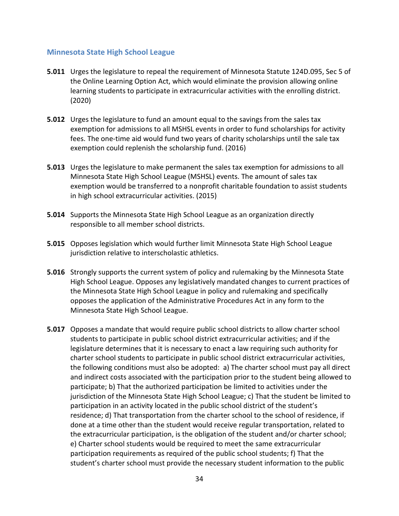#### **Minnesota State High School League**

- **5.011** Urges the legislature to repeal the requirement of Minnesota Statute 124D.095, Sec 5 of the Online Learning Option Act, which would eliminate the provision allowing online learning students to participate in extracurricular activities with the enrolling district. (2020)
- **5.012** Urges the legislature to fund an amount equal to the savings from the sales tax exemption for admissions to all MSHSL events in order to fund scholarships for activity fees. The one-time aid would fund two years of charity scholarships until the sale tax exemption could replenish the scholarship fund. (2016)
- **5.013** Urges the legislature to make permanent the sales tax exemption for admissions to all Minnesota State High School League (MSHSL) events. The amount of sales tax exemption would be transferred to a nonprofit charitable foundation to assist students in high school extracurricular activities. (2015)
- **5.014** Supports the Minnesota State High School League as an organization directly responsible to all member school districts.
- **5.015** Opposes legislation which would further limit Minnesota State High School League jurisdiction relative to interscholastic athletics.
- **5.016** Strongly supports the current system of policy and rulemaking by the Minnesota State High School League. Opposes any legislatively mandated changes to current practices of the Minnesota State High School League in policy and rulemaking and specifically opposes the application of the Administrative Procedures Act in any form to the Minnesota State High School League.
- **5.017** Opposes a mandate that would require public school districts to allow charter school students to participate in public school district extracurricular activities; and if the legislature determines that it is necessary to enact a law requiring such authority for charter school students to participate in public school district extracurricular activities, the following conditions must also be adopted: a) The charter school must pay all direct and indirect costs associated with the participation prior to the student being allowed to participate; b) That the authorized participation be limited to activities under the jurisdiction of the Minnesota State High School League; c) That the student be limited to participation in an activity located in the public school district of the student's residence; d) That transportation from the charter school to the school of residence, if done at a time other than the student would receive regular transportation, related to the extracurricular participation, is the obligation of the student and/or charter school; e) Charter school students would be required to meet the same extracurricular participation requirements as required of the public school students; f) That the student's charter school must provide the necessary student information to the public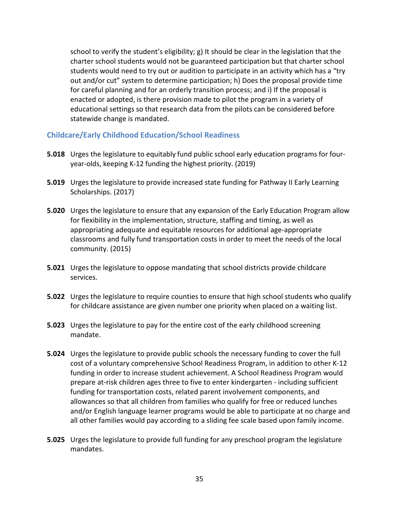school to verify the student's eligibility; g) It should be clear in the legislation that the charter school students would not be guaranteed participation but that charter school students would need to try out or audition to participate in an activity which has a "try out and/or cut" system to determine participation; h) Does the proposal provide time for careful planning and for an orderly transition process; and i) If the proposal is enacted or adopted, is there provision made to pilot the program in a variety of educational settings so that research data from the pilots can be considered before statewide change is mandated.

#### **Childcare/Early Childhood Education/School Readiness**

- **5.018** Urges the legislature to equitably fund public school early education programs for fouryear-olds, keeping K-12 funding the highest priority. (2019)
- **5.019** Urges the legislature to provide increased state funding for Pathway II Early Learning Scholarships. (2017)
- **5.020** Urges the legislature to ensure that any expansion of the Early Education Program allow for flexibility in the implementation, structure, staffing and timing, as well as appropriating adequate and equitable resources for additional age-appropriate classrooms and fully fund transportation costs in order to meet the needs of the local community. (2015)
- **5.021** Urges the legislature to oppose mandating that school districts provide childcare services.
- **5.022** Urges the legislature to require counties to ensure that high school students who qualify for childcare assistance are given number one priority when placed on a waiting list.
- **5.023** Urges the legislature to pay for the entire cost of the early childhood screening mandate.
- **5.024** Urges the legislature to provide public schools the necessary funding to cover the full cost of a voluntary comprehensive School Readiness Program, in addition to other K-12 funding in order to increase student achievement. A School Readiness Program would prepare at-risk children ages three to five to enter kindergarten - including sufficient funding for transportation costs, related parent involvement components, and allowances so that all children from families who qualify for free or reduced lunches and/or English language learner programs would be able to participate at no charge and all other families would pay according to a sliding fee scale based upon family income.
- **5.025** Urges the legislature to provide full funding for any preschool program the legislature mandates.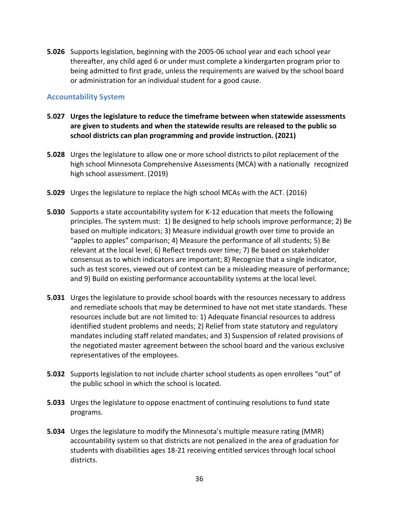**5.026** Supports legislation, beginning with the 2005-06 school year and each school year thereafter, any child aged 6 or under must complete a kindergarten program prior to being admitted to first grade, unless the requirements are waived by the school board or administration for an individual student for a good cause.

#### **Accountability System**

- **5.027 Urges the legislature to reduce the timeframe between when statewide assessments are given to students and when the statewide results are released to the public so school districts can plan programming and provide instruction. (2021)**
- **5.028** Urges the legislature to allow one or more school districts to pilot replacement of the high school Minnesota Comprehensive Assessments (MCA) with a nationally recognized high school assessment. (2019)
- **5.029** Urges the legislature to replace the high school MCAs with the ACT. (2016)
- **5.030** Supports a state accountability system for K-12 education that meets the following principles. The system must: 1) Be designed to help schools improve performance; 2) Be based on multiple indicators; 3) Measure individual growth over time to provide an "apples to apples" comparison; 4) Measure the performance of all students; 5) Be relevant at the local level; 6) Reflect trends over time; 7) Be based on stakeholder consensus as to which indicators are important; 8) Recognize that a single indicator, such as test scores, viewed out of context can be a misleading measure of performance; and 9) Build on existing performance accountability systems at the local level.
- **5.031** Urges the legislature to provide school boards with the resources necessary to address and remediate schools that may be determined to have not met state standards. These resources include but are not limited to: 1) Adequate financial resources to address identified student problems and needs; 2) Relief from state statutory and regulatory mandates including staff related mandates; and 3) Suspension of related provisions of the negotiated master agreement between the school board and the various exclusive representatives of the employees.
- **5.032** Supports legislation to not include charter school students as open enrollees "out" of the public school in which the school is located.
- **5.033** Urges the legislature to oppose enactment of continuing resolutions to fund state programs.
- **5.034** Urges the legislature to modify the Minnesota's multiple measure rating (MMR) accountability system so that districts are not penalized in the area of graduation for students with disabilities ages 18-21 receiving entitled services through local school districts.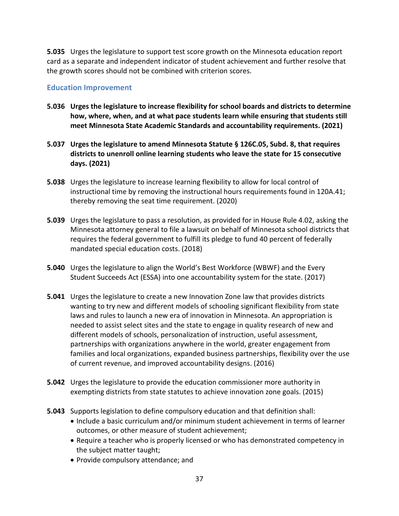**5.035** Urges the legislature to support test score growth on the Minnesota education report card as a separate and independent indicator of student achievement and further resolve that the growth scores should not be combined with criterion scores.

#### **Education Improvement**

- **5.036 Urges the legislature to increase flexibility for school boards and districts to determine how, where, when, and at what pace students learn while ensuring that students still meet Minnesota State Academic Standards and accountability requirements. (2021)**
- **5.037 Urges the legislature to amend Minnesota Statute § 126C.05, Subd. 8, that requires districts to unenroll online learning students who leave the state for 15 consecutive days. (2021)**
- **5.038** Urges the legislature to increase learning flexibility to allow for local control of instructional time by removing the instructional hours requirements found in 120A.41; thereby removing the seat time requirement. (2020)
- **5.039** Urges the legislature to pass a resolution, as provided for in House Rule 4.02, asking the Minnesota attorney general to file a lawsuit on behalf of Minnesota school districts that requires the federal government to fulfill its pledge to fund 40 percent of federally mandated special education costs. (2018)
- **5.040** Urges the legislature to align the World's Best Workforce (WBWF) and the Every Student Succeeds Act (ESSA) into one accountability system for the state. (2017)
- **5.041** Urges the legislature to create a new Innovation Zone law that provides districts wanting to try new and different models of schooling significant flexibility from state laws and rules to launch a new era of innovation in Minnesota. An appropriation is needed to assist select sites and the state to engage in quality research of new and different models of schools, personalization of instruction, useful assessment, partnerships with organizations anywhere in the world, greater engagement from families and local organizations, expanded business partnerships, flexibility over the use of current revenue, and improved accountability designs. (2016)
- **5.042** Urges the legislature to provide the education commissioner more authority in exempting districts from state statutes to achieve innovation zone goals. (2015)
- **5.043** Supports legislation to define compulsory education and that definition shall:
	- Include a basic curriculum and/or minimum student achievement in terms of learner outcomes, or other measure of student achievement;
	- Require a teacher who is properly licensed or who has demonstrated competency in the subject matter taught;
	- Provide compulsory attendance; and